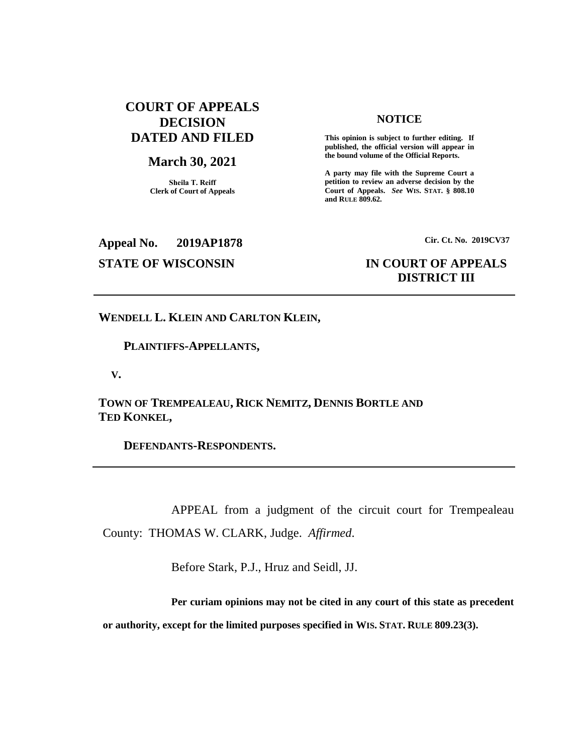## **COURT OF APPEALS DECISION DATED AND FILED**

### **March 30, 2021**

**Sheila T. Reiff Clerk of Court of Appeals**

#### **NOTICE**

**This opinion is subject to further editing. If published, the official version will appear in the bound volume of the Official Reports.** 

**A party may file with the Supreme Court a petition to review an adverse decision by the Court of Appeals.** *See* **WIS. STAT. § 808.10 and RULE 809.62.** 

**Appeal No. 2019AP1878 Cir. Ct. No. 2019CV37**

# **STATE OF WISCONSIN IN COURT OF APPEALS DISTRICT III**

**WENDELL L. KLEIN AND CARLTON KLEIN,**

 **PLAINTIFFS-APPELLANTS,**

 **V.**

**TOWN OF TREMPEALEAU, RICK NEMITZ, DENNIS BORTLE AND TED KONKEL,**

 **DEFENDANTS-RESPONDENTS.**

APPEAL from a judgment of the circuit court for Trempealeau County: THOMAS W. CLARK, Judge. *Affirmed*.

Before Stark, P.J., Hruz and Seidl, JJ.

**Per curiam opinions may not be cited in any court of this state as precedent or authority, except for the limited purposes specified in WIS. STAT. RULE 809.23(3).**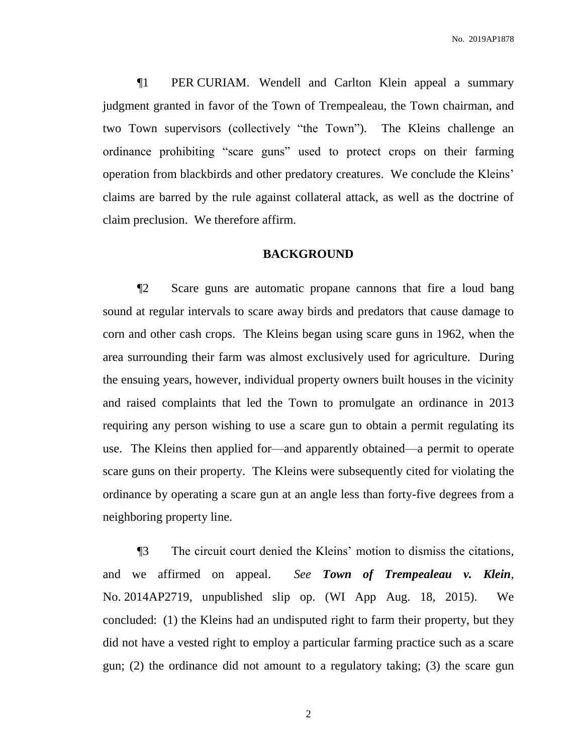¶1 PER CURIAM. Wendell and Carlton Klein appeal a summary judgment granted in favor of the Town of Trempealeau, the Town chairman, and two Town supervisors (collectively "the Town"). The Kleins challenge an ordinance prohibiting "scare guns" used to protect crops on their farming operation from blackbirds and other predatory creatures. We conclude the Kleins' claims are barred by the rule against collateral attack, as well as the doctrine of claim preclusion. We therefore affirm.

### **BACKGROUND**

¶2 Scare guns are automatic propane cannons that fire a loud bang sound at regular intervals to scare away birds and predators that cause damage to corn and other cash crops. The Kleins began using scare guns in 1962, when the area surrounding their farm was almost exclusively used for agriculture. During the ensuing years, however, individual property owners built houses in the vicinity and raised complaints that led the Town to promulgate an ordinance in 2013 requiring any person wishing to use a scare gun to obtain a permit regulating its use. The Kleins then applied for—and apparently obtained—a permit to operate scare guns on their property. The Kleins were subsequently cited for violating the ordinance by operating a scare gun at an angle less than forty-five degrees from a neighboring property line.

¶3 The circuit court denied the Kleins' motion to dismiss the citations, and we affirmed on appeal. *See Town of Trempealeau v. Klein*, No. 2014AP2719, unpublished slip op. (WI App Aug. 18, 2015). We concluded: (1) the Kleins had an undisputed right to farm their property, but they did not have a vested right to employ a particular farming practice such as a scare gun; (2) the ordinance did not amount to a regulatory taking; (3) the scare gun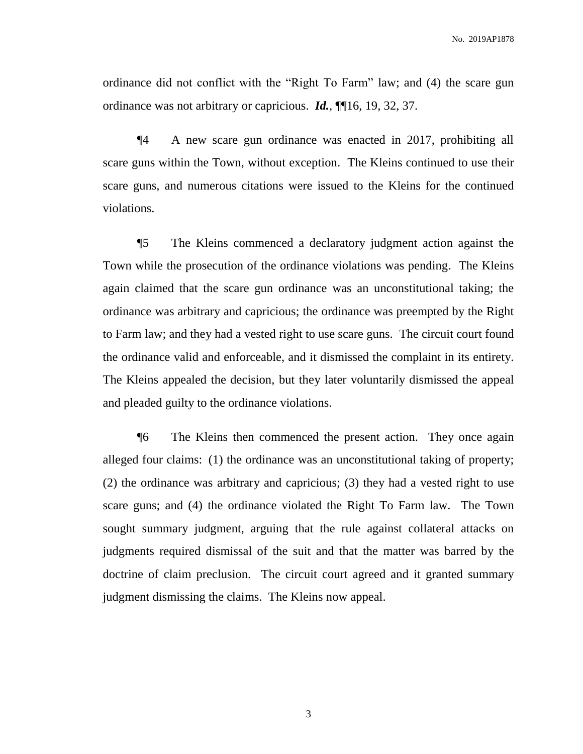ordinance did not conflict with the "Right To Farm" law; and (4) the scare gun ordinance was not arbitrary or capricious. *Id.*, ¶¶16, 19, 32, 37.

¶4 A new scare gun ordinance was enacted in 2017, prohibiting all scare guns within the Town, without exception. The Kleins continued to use their scare guns, and numerous citations were issued to the Kleins for the continued violations.

¶5 The Kleins commenced a declaratory judgment action against the Town while the prosecution of the ordinance violations was pending. The Kleins again claimed that the scare gun ordinance was an unconstitutional taking; the ordinance was arbitrary and capricious; the ordinance was preempted by the Right to Farm law; and they had a vested right to use scare guns. The circuit court found the ordinance valid and enforceable, and it dismissed the complaint in its entirety. The Kleins appealed the decision, but they later voluntarily dismissed the appeal and pleaded guilty to the ordinance violations.

¶6 The Kleins then commenced the present action. They once again alleged four claims: (1) the ordinance was an unconstitutional taking of property; (2) the ordinance was arbitrary and capricious; (3) they had a vested right to use scare guns; and (4) the ordinance violated the Right To Farm law. The Town sought summary judgment, arguing that the rule against collateral attacks on judgments required dismissal of the suit and that the matter was barred by the doctrine of claim preclusion. The circuit court agreed and it granted summary judgment dismissing the claims. The Kleins now appeal.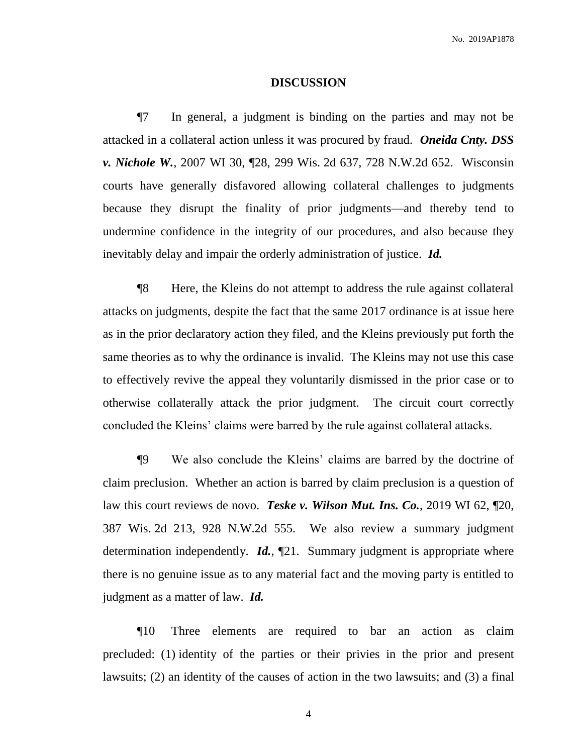### **DISCUSSION**

¶7 In general, a judgment is binding on the parties and may not be attacked in a collateral action unless it was procured by fraud. *Oneida Cnty. DSS v. Nichole W.*, 2007 WI 30, ¶28, 299 Wis. 2d 637, 728 N.W.2d 652. Wisconsin courts have generally disfavored allowing collateral challenges to judgments because they disrupt the finality of prior judgments—and thereby tend to undermine confidence in the integrity of our procedures, and also because they inevitably delay and impair the orderly administration of justice. *Id.*

¶8 Here, the Kleins do not attempt to address the rule against collateral attacks on judgments, despite the fact that the same 2017 ordinance is at issue here as in the prior declaratory action they filed, and the Kleins previously put forth the same theories as to why the ordinance is invalid. The Kleins may not use this case to effectively revive the appeal they voluntarily dismissed in the prior case or to otherwise collaterally attack the prior judgment. The circuit court correctly concluded the Kleins' claims were barred by the rule against collateral attacks.

¶9 We also conclude the Kleins' claims are barred by the doctrine of claim preclusion. Whether an action is barred by claim preclusion is a question of law this court reviews de novo. *Teske v. Wilson Mut. Ins. Co.*, 2019 WI 62, ¶20, 387 Wis. 2d 213, 928 N.W.2d 555. We also review a summary judgment determination independently. *Id.*, ¶21. Summary judgment is appropriate where there is no genuine issue as to any material fact and the moving party is entitled to judgment as a matter of law. *Id.*

¶10 Three elements are required to bar an action as claim precluded: (1) identity of the parties or their privies in the prior and present lawsuits; (2) an identity of the causes of action in the two lawsuits; and (3) a final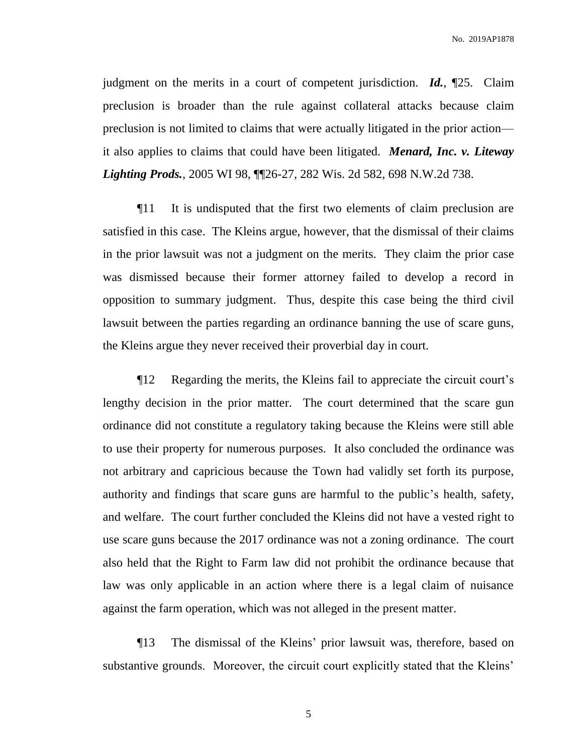No. 2019AP1878

judgment on the merits in a court of competent jurisdiction. *Id.*, ¶25. Claim preclusion is broader than the rule against collateral attacks because claim preclusion is not limited to claims that were actually litigated in the prior action it also applies to claims that could have been litigated. *Menard, Inc. v. Liteway Lighting Prods.*, 2005 WI 98, ¶¶26-27, 282 Wis. 2d 582, 698 N.W.2d 738.

¶11 It is undisputed that the first two elements of claim preclusion are satisfied in this case. The Kleins argue, however, that the dismissal of their claims in the prior lawsuit was not a judgment on the merits. They claim the prior case was dismissed because their former attorney failed to develop a record in opposition to summary judgment. Thus, despite this case being the third civil lawsuit between the parties regarding an ordinance banning the use of scare guns, the Kleins argue they never received their proverbial day in court.

¶12 Regarding the merits, the Kleins fail to appreciate the circuit court's lengthy decision in the prior matter. The court determined that the scare gun ordinance did not constitute a regulatory taking because the Kleins were still able to use their property for numerous purposes. It also concluded the ordinance was not arbitrary and capricious because the Town had validly set forth its purpose, authority and findings that scare guns are harmful to the public's health, safety, and welfare. The court further concluded the Kleins did not have a vested right to use scare guns because the 2017 ordinance was not a zoning ordinance. The court also held that the Right to Farm law did not prohibit the ordinance because that law was only applicable in an action where there is a legal claim of nuisance against the farm operation, which was not alleged in the present matter.

¶13 The dismissal of the Kleins' prior lawsuit was, therefore, based on substantive grounds. Moreover, the circuit court explicitly stated that the Kleins'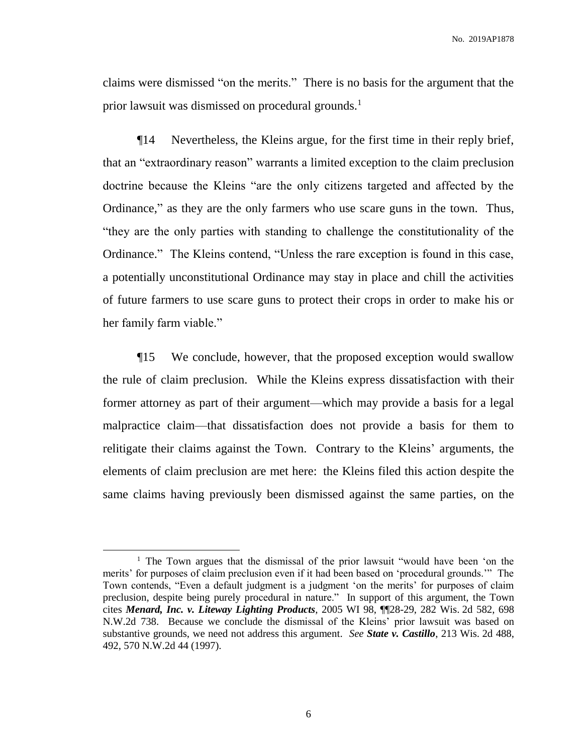No. 2019AP1878

claims were dismissed "on the merits." There is no basis for the argument that the prior lawsuit was dismissed on procedural grounds.<sup>1</sup>

¶14 Nevertheless, the Kleins argue, for the first time in their reply brief, that an "extraordinary reason" warrants a limited exception to the claim preclusion doctrine because the Kleins "are the only citizens targeted and affected by the Ordinance," as they are the only farmers who use scare guns in the town. Thus, "they are the only parties with standing to challenge the constitutionality of the Ordinance." The Kleins contend, "Unless the rare exception is found in this case, a potentially unconstitutional Ordinance may stay in place and chill the activities of future farmers to use scare guns to protect their crops in order to make his or her family farm viable."

¶15 We conclude, however, that the proposed exception would swallow the rule of claim preclusion. While the Kleins express dissatisfaction with their former attorney as part of their argument—which may provide a basis for a legal malpractice claim—that dissatisfaction does not provide a basis for them to relitigate their claims against the Town. Contrary to the Kleins' arguments, the elements of claim preclusion are met here: the Kleins filed this action despite the same claims having previously been dismissed against the same parties, on the

 $\overline{a}$ 

<sup>&</sup>lt;sup>1</sup> The Town argues that the dismissal of the prior lawsuit "would have been 'on the merits' for purposes of claim preclusion even if it had been based on 'procedural grounds.'" The Town contends, "Even a default judgment is a judgment 'on the merits' for purposes of claim preclusion, despite being purely procedural in nature." In support of this argument, the Town cites *Menard, Inc. v. Liteway Lighting Products*, 2005 WI 98, ¶¶28-29, 282 Wis. 2d 582, 698 N.W.2d 738. Because we conclude the dismissal of the Kleins' prior lawsuit was based on substantive grounds, we need not address this argument. *See State v. Castillo*, 213 Wis. 2d 488, 492, 570 N.W.2d 44 (1997).